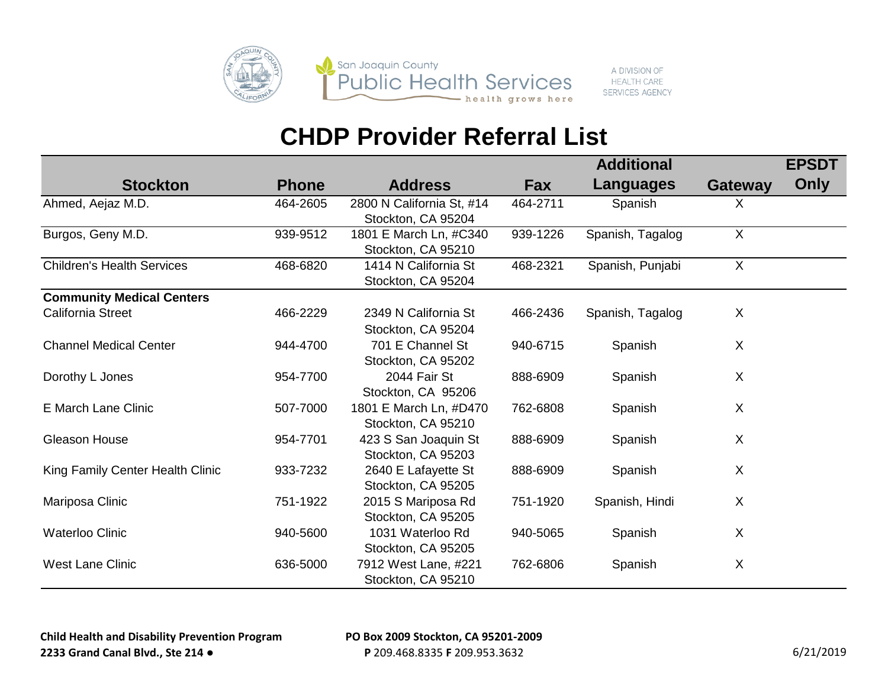

A DIVISION OF **HEALTH CARE SERVICES AGENCY** 

|                                   |              |                                                 |          | <b>Additional</b> |                | <b>EPSDT</b> |
|-----------------------------------|--------------|-------------------------------------------------|----------|-------------------|----------------|--------------|
| <b>Stockton</b>                   | <b>Phone</b> | <b>Address</b>                                  | Fax      | Languages         | <b>Gateway</b> | Only         |
| Ahmed, Aejaz M.D.                 | 464-2605     | 2800 N California St, #14<br>Stockton, CA 95204 | 464-2711 | Spanish           | X              |              |
| Burgos, Geny M.D.                 | 939-9512     | 1801 E March Ln, #C340<br>Stockton, CA 95210    | 939-1226 | Spanish, Tagalog  | $\sf X$        |              |
| <b>Children's Health Services</b> | 468-6820     | 1414 N California St<br>Stockton, CA 95204      | 468-2321 | Spanish, Punjabi  | $\sf X$        |              |
| <b>Community Medical Centers</b>  |              |                                                 |          |                   |                |              |
| <b>California Street</b>          | 466-2229     | 2349 N California St<br>Stockton, CA 95204      | 466-2436 | Spanish, Tagalog  | X              |              |
| <b>Channel Medical Center</b>     | 944-4700     | 701 E Channel St<br>Stockton, CA 95202          | 940-6715 | Spanish           | X              |              |
| Dorothy L Jones                   | 954-7700     | 2044 Fair St<br>Stockton, CA 95206              | 888-6909 | Spanish           | X              |              |
| E March Lane Clinic               | 507-7000     | 1801 E March Ln, #D470<br>Stockton, CA 95210    | 762-6808 | Spanish           | X              |              |
| Gleason House                     | 954-7701     | 423 S San Joaquin St<br>Stockton, CA 95203      | 888-6909 | Spanish           | X              |              |
| King Family Center Health Clinic  | 933-7232     | 2640 E Lafayette St<br>Stockton, CA 95205       | 888-6909 | Spanish           | X              |              |
| Mariposa Clinic                   | 751-1922     | 2015 S Mariposa Rd<br>Stockton, CA 95205        | 751-1920 | Spanish, Hindi    | X              |              |
| <b>Waterloo Clinic</b>            | 940-5600     | 1031 Waterloo Rd<br>Stockton, CA 95205          | 940-5065 | Spanish           | X              |              |
| <b>West Lane Clinic</b>           | 636-5000     | 7912 West Lane, #221<br>Stockton, CA 95210      | 762-6806 | Spanish           | X              |              |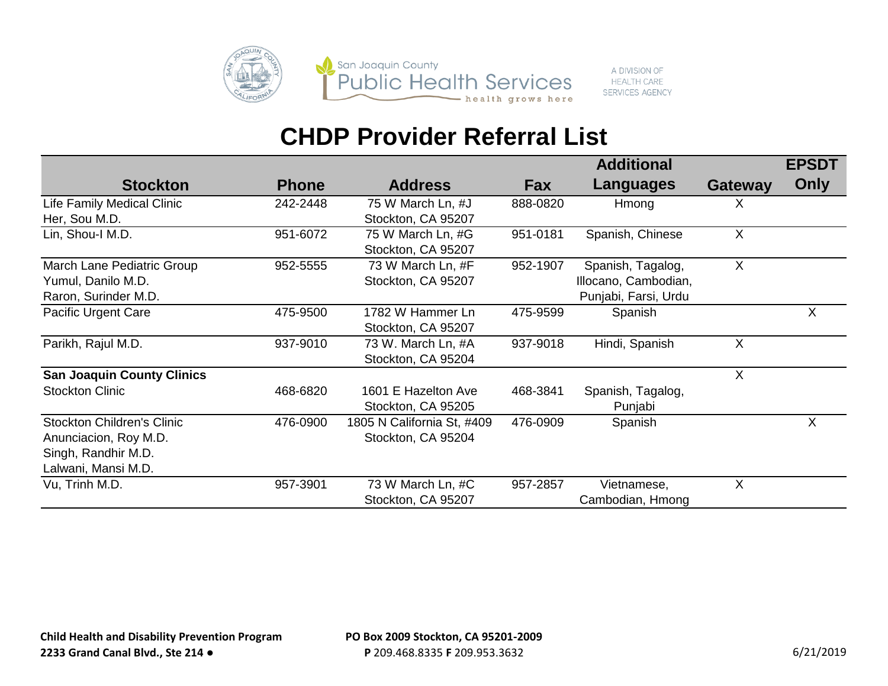

A DIVISION OF **HEALTH CARE SERVICES AGENCY** 

|                                   |              |                            |          | <b>Additional</b>    |                           | <b>EPSDT</b> |
|-----------------------------------|--------------|----------------------------|----------|----------------------|---------------------------|--------------|
| <b>Stockton</b>                   | <b>Phone</b> | <b>Address</b>             | Fax      | <b>Languages</b>     | <b>Gateway</b>            | Only         |
| Life Family Medical Clinic        | 242-2448     | 75 W March Ln, #J          | 888-0820 | Hmong                | X                         |              |
| Her, Sou M.D.                     |              | Stockton, CA 95207         |          |                      |                           |              |
| Lin, Shou-I M.D.                  | 951-6072     | 75 W March Ln, #G          | 951-0181 | Spanish, Chinese     | $\sf X$                   |              |
|                                   |              | Stockton, CA 95207         |          |                      |                           |              |
| March Lane Pediatric Group        | 952-5555     | 73 W March Ln, #F          | 952-1907 | Spanish, Tagalog,    | X                         |              |
| Yumul, Danilo M.D.                |              | Stockton, CA 95207         |          | Illocano, Cambodian, |                           |              |
| Raron, Surinder M.D.              |              |                            |          | Punjabi, Farsi, Urdu |                           |              |
| Pacific Urgent Care               | 475-9500     | 1782 W Hammer Ln           | 475-9599 | Spanish              |                           | X            |
|                                   |              | Stockton, CA 95207         |          |                      |                           |              |
| Parikh, Rajul M.D.                | 937-9010     | 73 W. March Ln, #A         | 937-9018 | Hindi, Spanish       | $\boldsymbol{\mathsf{X}}$ |              |
|                                   |              | Stockton, CA 95204         |          |                      |                           |              |
| <b>San Joaquin County Clinics</b> |              |                            |          |                      | $\sf X$                   |              |
| <b>Stockton Clinic</b>            | 468-6820     | 1601 E Hazelton Ave        | 468-3841 | Spanish, Tagalog,    |                           |              |
|                                   |              | Stockton, CA 95205         |          | Punjabi              |                           |              |
| <b>Stockton Children's Clinic</b> | 476-0900     | 1805 N California St, #409 | 476-0909 | Spanish              |                           | X            |
| Anunciacion, Roy M.D.             |              | Stockton, CA 95204         |          |                      |                           |              |
| Singh, Randhir M.D.               |              |                            |          |                      |                           |              |
| Lalwani, Mansi M.D.               |              |                            |          |                      |                           |              |
| Vu, Trinh M.D.                    | 957-3901     | 73 W March Ln, #C          | 957-2857 | Vietnamese,          | $\boldsymbol{\mathsf{X}}$ |              |
|                                   |              | Stockton, CA 95207         |          | Cambodian, Hmong     |                           |              |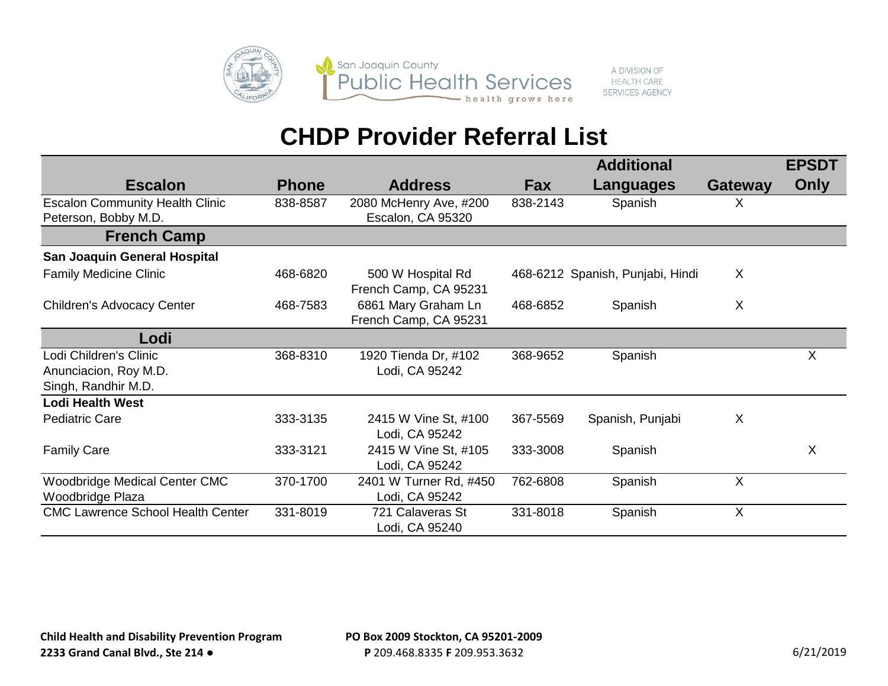

#### A DIVISION OF **HEALTH CARE SERVICES AGENCY**

|                                                                        |              |                                              |            | <b>Additional</b>                |                           | <b>EPSDT</b> |
|------------------------------------------------------------------------|--------------|----------------------------------------------|------------|----------------------------------|---------------------------|--------------|
| <b>Escalon</b>                                                         | <b>Phone</b> | <b>Address</b>                               | <b>Fax</b> | Languages                        | <b>Gateway</b>            | Only         |
| <b>Escalon Community Health Clinic</b><br>Peterson, Bobby M.D.         | 838-8587     | 2080 McHenry Ave, #200<br>Escalon, CA 95320  | 838-2143   | Spanish                          | X                         |              |
| <b>French Camp</b>                                                     |              |                                              |            |                                  |                           |              |
| San Joaquin General Hospital                                           |              |                                              |            |                                  |                           |              |
| <b>Family Medicine Clinic</b>                                          | 468-6820     | 500 W Hospital Rd<br>French Camp, CA 95231   |            | 468-6212 Spanish, Punjabi, Hindi | X                         |              |
| <b>Children's Advocacy Center</b>                                      | 468-7583     | 6861 Mary Graham Ln<br>French Camp, CA 95231 | 468-6852   | Spanish                          | $\boldsymbol{\mathsf{X}}$ |              |
| Lodi                                                                   |              |                                              |            |                                  |                           |              |
| Lodi Children's Clinic<br>Anunciacion, Roy M.D.<br>Singh, Randhir M.D. | 368-8310     | 1920 Tienda Dr, #102<br>Lodi, CA 95242       | 368-9652   | Spanish                          |                           | $\sf X$      |
| <b>Lodi Health West</b>                                                |              |                                              |            |                                  |                           |              |
| <b>Pediatric Care</b>                                                  | 333-3135     | 2415 W Vine St, #100<br>Lodi, CA 95242       | 367-5569   | Spanish, Punjabi                 | X                         |              |
| <b>Family Care</b>                                                     | 333-3121     | 2415 W Vine St, #105<br>Lodi, CA 95242       | 333-3008   | Spanish                          |                           | X            |
| <b>Woodbridge Medical Center CMC</b><br>Woodbridge Plaza               | 370-1700     | 2401 W Turner Rd, #450<br>Lodi, CA 95242     | 762-6808   | Spanish                          | $\boldsymbol{\mathsf{X}}$ |              |
| <b>CMC Lawrence School Health Center</b>                               | 331-8019     | 721 Calaveras St<br>Lodi, CA 95240           | 331-8018   | Spanish                          | X                         |              |